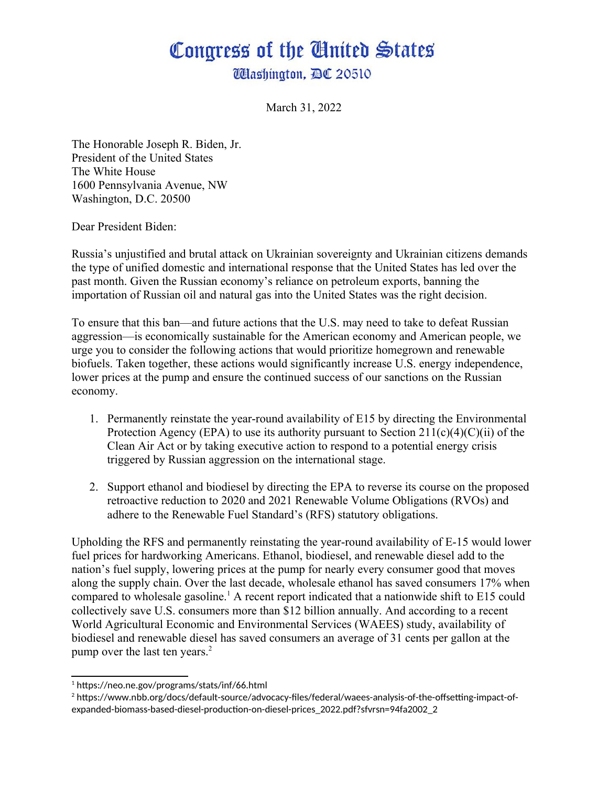## Congress of the Gnited States

**Washington, DC 20510** 

March 31, 2022

The Honorable Joseph R. Biden, Jr. President of the United States The White House 1600 Pennsylvania Avenue, NW Washington, D.C. 20500

Dear President Biden:

Russia's unjustified and brutal attack on Ukrainian sovereignty and Ukrainian citizens demands the type of unified domestic and international response that the United States has led over the past month. Given the Russian economy's reliance on petroleum exports, banning the importation of Russian oil and natural gas into the United States was the right decision.

To ensure that this ban—and future actions that the U.S. may need to take to defeat Russian aggression—is economically sustainable for the American economy and American people, we urge you to consider the following actions that would prioritize homegrown and renewable biofuels. Taken together, these actions would significantly increase U.S. energy independence, lower prices at the pump and ensure the continued success of our sanctions on the Russian economy.

- 1. Permanently reinstate the year-round availability of E15 by directing the Environmental Protection Agency (EPA) to use its authority pursuant to Section  $211(c)(4)(C)(ii)$  of the Clean Air Act or by taking executive action to respond to a potential energy crisis triggered by Russian aggression on the international stage.
- 2. Support ethanol and biodiesel by directing the EPA to reverse its course on the proposed retroactive reduction to 2020 and 2021 Renewable Volume Obligations (RVOs) and adhere to the Renewable Fuel Standard's (RFS) statutory obligations.

<span id="page-0-0"></span>Upholding the RFS and permanently reinstating the year-round availability of E-15 would lower fuel prices for hardworking Americans. Ethanol, biodiesel, and renewable diesel add to the nation's fuel supply, lowering prices at the pump for nearly every consumer good that moves along the supply chain. Over the last decade, wholesale ethanol has saved consumers 17% when compared to wholesale gasoline.<sup>[1](#page-0-1)</sup> A recent report indicated that a nationwide shift to E15 could collectively save U.S. consumers more than \$12 billion annually. And according to a recent World Agricultural Economic and Environmental Services (WAEES) study, availability of biodiesel and renewable diesel has saved consumers an average of 31 cents per gallon at the pump over the last ten years.<sup>[2](#page-0-3)</sup>

<span id="page-0-2"></span><span id="page-0-1"></span>[<sup>1</sup>](#page-0-0) https://neo.ne.gov/programs/stats/inf/66.html

<span id="page-0-3"></span>[<sup>2</sup>](#page-0-2) https://www.nbb.org/docs/default-source/advocacy-files/federal/waees-analysis-of-the-offsetting-impact-ofexpanded-biomass-based-diesel-production-on-diesel-prices\_2022.pdf?sfvrsn=94fa2002\_2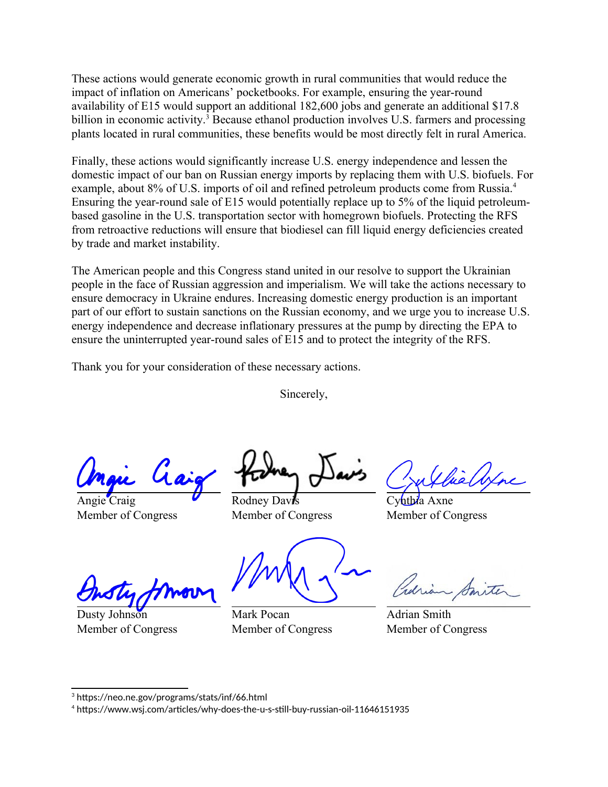<span id="page-1-0"></span>These actions would generate economic growth in rural communities that would reduce the impact of inflation on Americans' pocketbooks. For example, ensuring the year-round availability of E15 would support an additional 182,600 jobs and generate an additional \$17.8 billion in economic activity.<sup>[3](#page-1-1)</sup> Because ethanol production involves U.S. farmers and processing plants located in rural communities, these benefits would be most directly felt in rural America.

Finally, these actions would significantly increase U.S. energy independence and lessen the domestic impact of our ban on Russian energy imports by replacing them with U.S. biofuels. For example, about 8% of U.S. imports of oil and refined petroleum products come from Russia.<sup>[4](#page-1-3)</sup> Ensuring the year-round sale of E15 would potentially replace up to 5% of the liquid petroleumbased gasoline in the U.S. transportation sector with homegrown biofuels. Protecting the RFS from retroactive reductions will ensure that biodiesel can fill liquid energy deficiencies created by trade and market instability.

The American people and this Congress stand united in our resolve to support the Ukrainian people in the face of Russian aggression and imperialism. We will take the actions necessary to ensure democracy in Ukraine endures. Increasing domestic energy production is an important part of our effort to sustain sanctions on the Russian economy, and we urge you to increase U.S. energy independence and decrease inflationary pressures at the pump by directing the EPA to ensure the uninterrupted year-round sales of E15 and to protect the integrity of the RFS.

Thank you for your consideration of these necessary actions.

Sincerely,

Angie Craig Member of Congress

Rodney Davis Member of Congress

<span id="page-1-2"></span>

Cy**nthia** Axne Member of Congress

Dusty Johnson Member of Congress

Mark Pocan Member of Congress

Adrian Smith Member of Congress

<span id="page-1-1"></span>[<sup>3</sup>](#page-1-0) https://neo.ne.gov/programs/stats/inf/66.html

<span id="page-1-3"></span>[<sup>4</sup>](#page-1-2) https://www.wsj.com/articles/why-does-the-u-s-still-buy-russian-oil-11646151935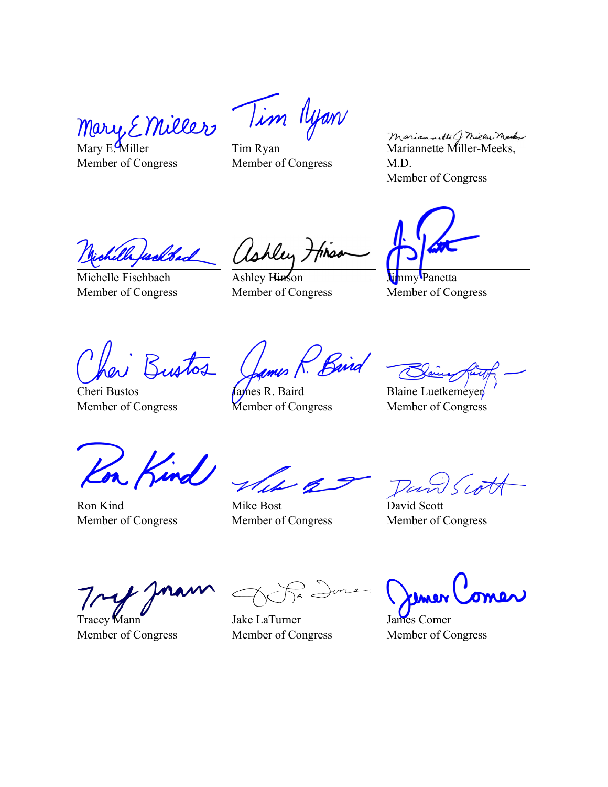riller Mary, E

Mary E. Miller Member of Congress

Tim Ryan Tim Ryan Member of Congress

Mariannette J Micley Mark<br>Mariannette Miller-Meeks, M.D. Member of Congress

Michelle Fischbach Member of Congress

hlen tirs

Ashley Hinson Member of Congress

**Jimmy Panetta** Member of Congress

Cheri Bustos Member of Congress

Baira

James R. Baird Member of Congress

Blaine Luetkemeyer Member of Congress

Ron Kind Member of Congress

Mike Bost Member of Congress

David Scott Member of Congress

Tracey **M**ann Member of Congress

Jake LaTurner Member of Congress

James Comer Member of Congress